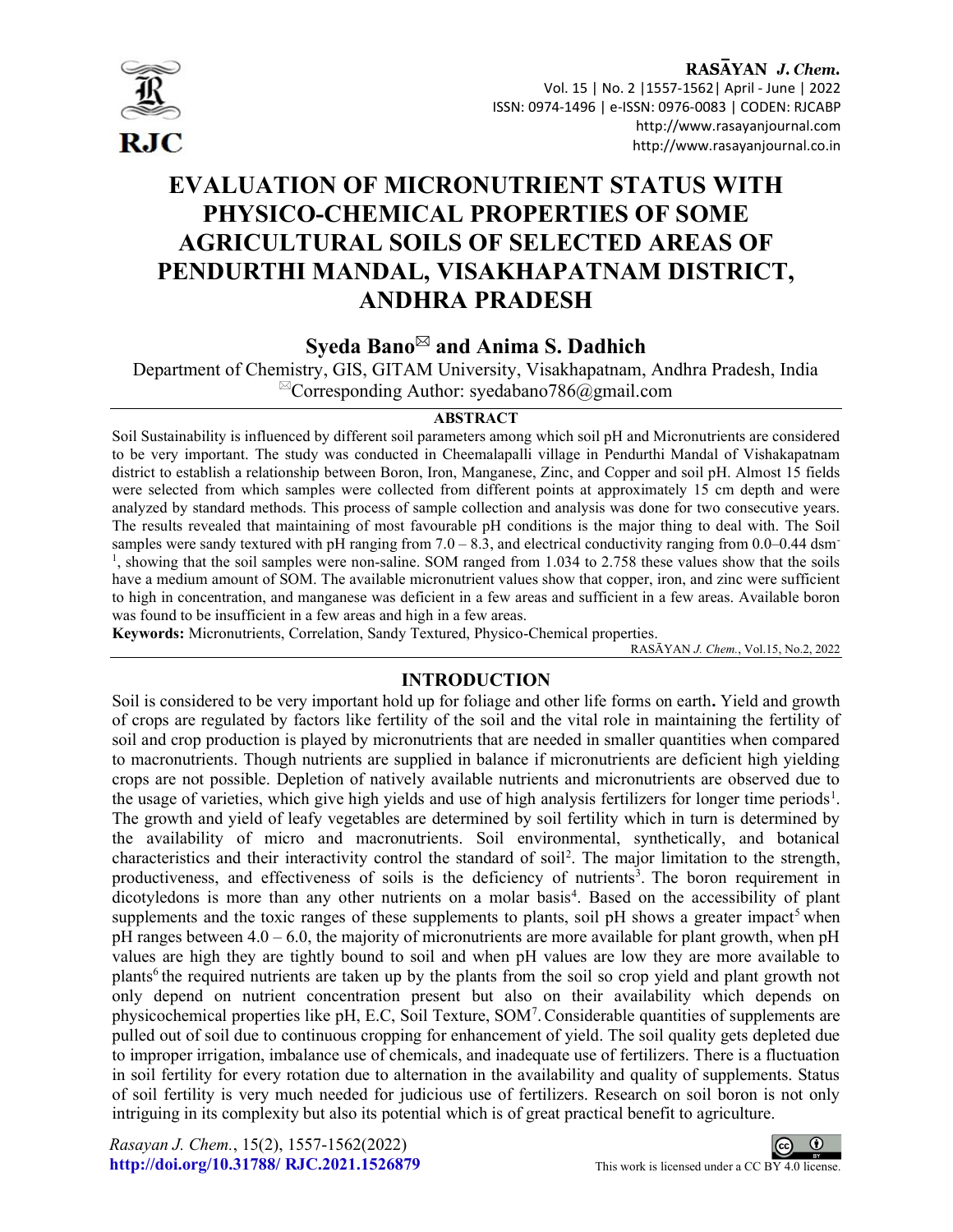

RASAYAN J. Chem. Vol. 15 | No. 2 |1557-1562| April - June | 2022 ISSN: 0974-1496 | e-ISSN: 0976-0083 | CODEN: RJCABP http://www.rasayanjournal.com http://www.rasayanjournal.co.in

# EVALUATION OF MICRONUTRIENT STATUS WITH PHYSICO-CHEMICAL PROPERTIES OF SOME AGRICULTURAL SOILS OF SELECTED AREAS OF PENDURTHI MANDAL, VISAKHAPATNAM DISTRICT, ANDHRA PRADESH

# Syeda Bano $^{\boxtimes}$  and Anima S. Dadhich

Department of Chemistry, GIS, GITAM University, Visakhapatnam, Andhra Pradesh, India  ${}^{\boxtimes}$ Corresponding Author: syedabano786@gmail.com

### ABSTRACT

Soil Sustainability is influenced by different soil parameters among which soil pH and Micronutrients are considered to be very important. The study was conducted in Cheemalapalli village in Pendurthi Mandal of Vishakapatnam district to establish a relationship between Boron, Iron, Manganese, Zinc, and Copper and soil pH. Almost 15 fields were selected from which samples were collected from different points at approximately 15 cm depth and were analyzed by standard methods. This process of sample collection and analysis was done for two consecutive years. The results revealed that maintaining of most favourable pH conditions is the major thing to deal with. The Soil samples were sandy textured with pH ranging from  $7.0 - 8.3$ , and electrical conductivity ranging from  $0.0 - 0.44$  dsm<sup>-</sup> <sup>1</sup>, showing that the soil samples were non-saline. SOM ranged from 1.034 to 2.758 these values show that the soils have a medium amount of SOM. The available micronutrient values show that copper, iron, and zinc were sufficient to high in concentration, and manganese was deficient in a few areas and sufficient in a few areas. Available boron was found to be insufficient in a few areas and high in a few areas.

Keywords: Micronutrients, Correlation, Sandy Textured, Physico-Chemical properties.

RASĀYAN J. Chem., Vol.15, No.2, 2022

# INTRODUCTION

Soil is considered to be very important hold up for foliage and other life forms on earth. Yield and growth of crops are regulated by factors like fertility of the soil and the vital role in maintaining the fertility of soil and crop production is played by micronutrients that are needed in smaller quantities when compared to macronutrients. Though nutrients are supplied in balance if micronutrients are deficient high yielding crops are not possible. Depletion of natively available nutrients and micronutrients are observed due to the usage of varieties, which give high yields and use of high analysis fertilizers for longer time periods<sup>1</sup>. The growth and yield of leafy vegetables are determined by soil fertility which in turn is determined by the availability of micro and macronutrients. Soil environmental, synthetically, and botanical characteristics and their interactivity control the standard of soil<sup>2</sup>. The major limitation to the strength, productiveness, and effectiveness of soils is the deficiency of nutrients<sup>3</sup>. The boron requirement in dicotyledons is more than any other nutrients on a molar basis<sup>4</sup>. Based on the accessibility of plant supplements and the toxic ranges of these supplements to plants, soil pH shows a greater impact<sup>5</sup> when pH ranges between  $4.0 - 6.0$ , the majority of micronutrients are more available for plant growth, when pH values are high they are tightly bound to soil and when pH values are low they are more available to plants<sup>6</sup> the required nutrients are taken up by the plants from the soil so crop yield and plant growth not only depend on nutrient concentration present but also on their availability which depends on physicochemical properties like pH, E.C, Soil Texture, SOM<sup>7</sup> .Considerable quantities of supplements are pulled out of soil due to continuous cropping for enhancement of yield. The soil quality gets depleted due to improper irrigation, imbalance use of chemicals, and inadequate use of fertilizers. There is a fluctuation in soil fertility for every rotation due to alternation in the availability and quality of supplements. Status of soil fertility is very much needed for judicious use of fertilizers. Research on soil boron is not only intriguing in its complexity but also its potential which is of great practical benefit to agriculture.

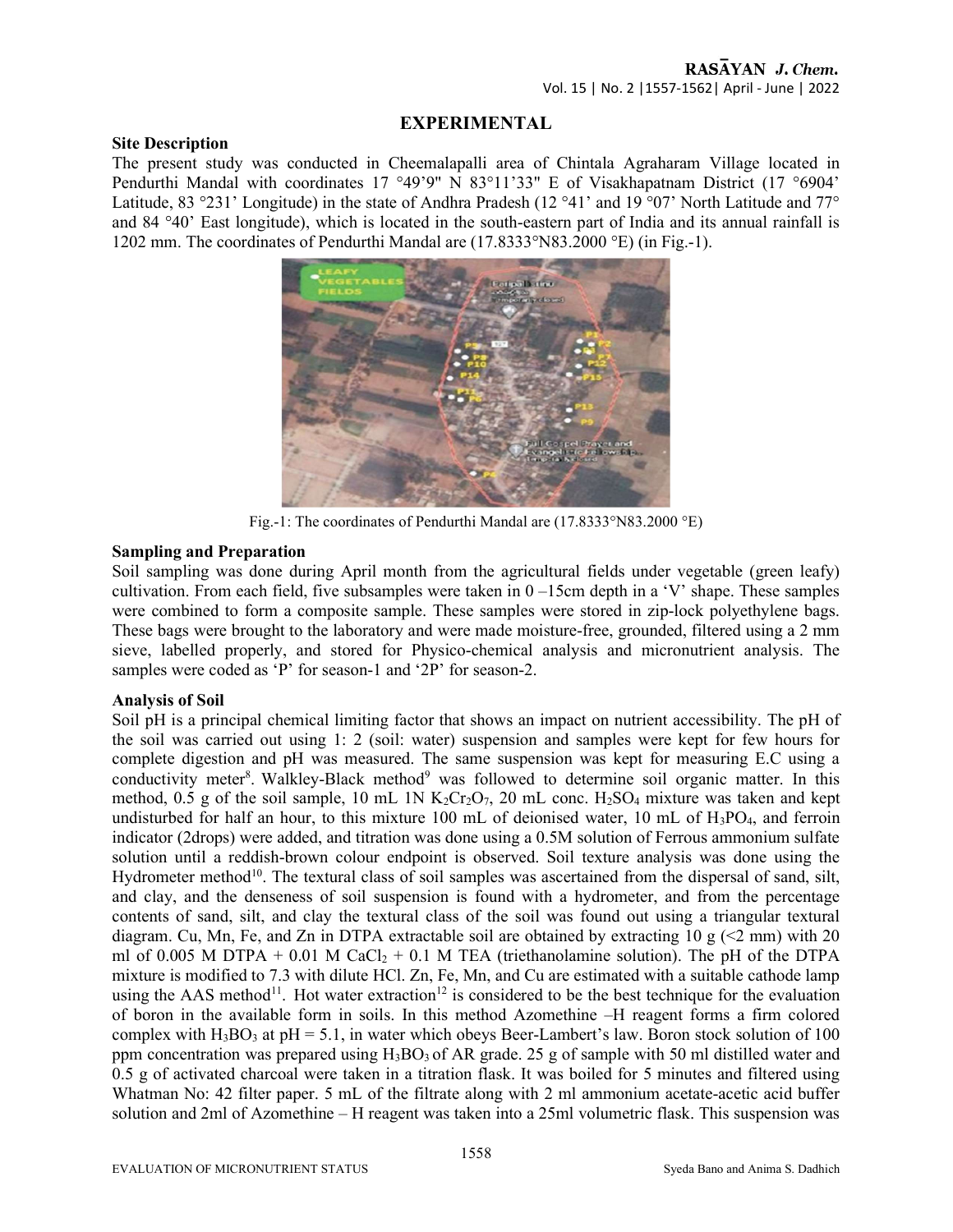# EXPERIMENTAL

### Site Description

The present study was conducted in Cheemalapalli area of Chintala Agraharam Village located in Pendurthi Mandal with coordinates 17 °49'9" N 83°11'33" E of Visakhapatnam District (17 °6904' Latitude, 83 °231' Longitude) in the state of Andhra Pradesh (12 °41' and 19 °07' North Latitude and 77° and 84 °40' East longitude), which is located in the south-eastern part of India and its annual rainfall is 1202 mm. The coordinates of Pendurthi Mandal are (17.8333°N83.2000 °E) (in Fig.-1).



Fig.-1: The coordinates of Pendurthi Mandal are (17.8333°N83.2000 °E)

# Sampling and Preparation

Soil sampling was done during April month from the agricultural fields under vegetable (green leafy) cultivation. From each field, five subsamples were taken in  $0 - 15$ cm depth in a 'V' shape. These samples were combined to form a composite sample. These samples were stored in zip-lock polyethylene bags. These bags were brought to the laboratory and were made moisture-free, grounded, filtered using a 2 mm sieve, labelled properly, and stored for Physico-chemical analysis and micronutrient analysis. The samples were coded as 'P' for season-1 and '2P' for season-2.

# Analysis of Soil

Soil pH is a principal chemical limiting factor that shows an impact on nutrient accessibility. The pH of the soil was carried out using 1: 2 (soil: water) suspension and samples were kept for few hours for complete digestion and pH was measured. The same suspension was kept for measuring E.C using a conductivity meter<sup>8</sup>. Walkley-Black method<sup>9</sup> was followed to determine soil organic matter. In this method, 0.5 g of the soil sample, 10 mL 1N  $K_2Cr_2O_7$ , 20 mL conc. H<sub>2</sub>SO<sub>4</sub> mixture was taken and kept undisturbed for half an hour, to this mixture 100 mL of deionised water, 10 mL of  $H_3PO_4$ , and ferroin indicator (2drops) were added, and titration was done using a 0.5M solution of Ferrous ammonium sulfate solution until a reddish-brown colour endpoint is observed. Soil texture analysis was done using the Hydrometer method<sup>10</sup>. The textural class of soil samples was ascertained from the dispersal of sand, silt, and clay, and the denseness of soil suspension is found with a hydrometer, and from the percentage contents of sand, silt, and clay the textural class of the soil was found out using a triangular textural diagram. Cu, Mn, Fe, and Zn in DTPA extractable soil are obtained by extracting 10 g ( $\leq$ 2 mm) with 20 ml of 0.005 M DTPA + 0.01 M CaCl<sub>2</sub> + 0.1 M TEA (triethanolamine solution). The pH of the DTPA mixture is modified to 7.3 with dilute HCl. Zn, Fe, Mn, and Cu are estimated with a suitable cathode lamp using the AAS method<sup>11</sup>. Hot water extraction<sup>12</sup> is considered to be the best technique for the evaluation of boron in the available form in soils. In this method Azomethine –H reagent forms a firm colored complex with  $H_3BO_3$  at pH = 5.1, in water which obeys Beer-Lambert's law. Boron stock solution of 100 ppm concentration was prepared using  $H_3BO_3$  of AR grade. 25 g of sample with 50 ml distilled water and 0.5 g of activated charcoal were taken in a titration flask. It was boiled for 5 minutes and filtered using Whatman No: 42 filter paper. 5 mL of the filtrate along with 2 ml ammonium acetate-acetic acid buffer solution and 2ml of Azomethine – H reagent was taken into a 25ml volumetric flask. This suspension was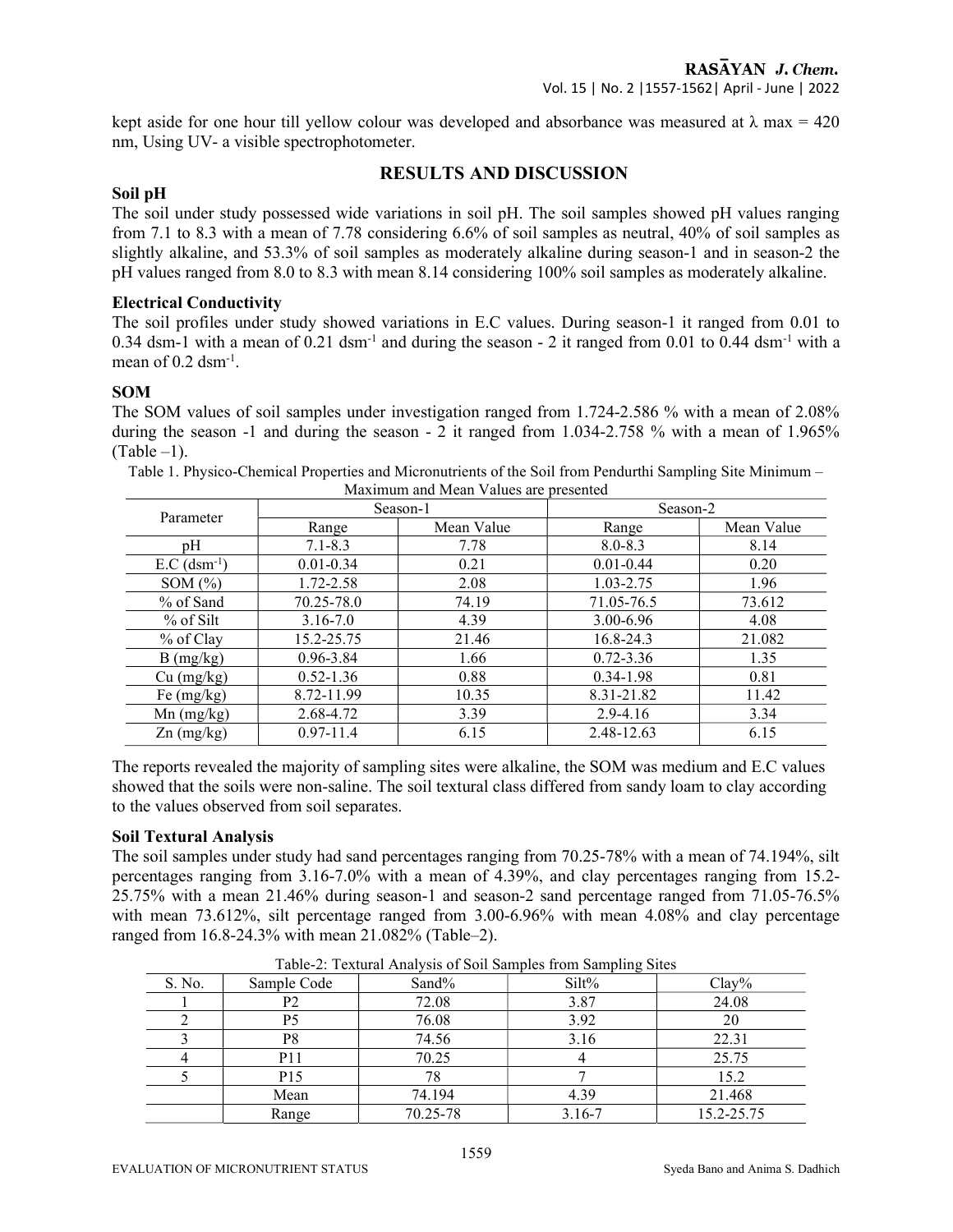kept aside for one hour till yellow colour was developed and absorbance was measured at  $\lambda$  max = 420 nm, Using UV- a visible spectrophotometer.

# RESULTS AND DISCUSSION

### Soil pH

The soil under study possessed wide variations in soil pH. The soil samples showed pH values ranging from 7.1 to 8.3 with a mean of 7.78 considering 6.6% of soil samples as neutral, 40% of soil samples as slightly alkaline, and 53.3% of soil samples as moderately alkaline during season-1 and in season-2 the pH values ranged from 8.0 to 8.3 with mean 8.14 considering 100% soil samples as moderately alkaline.

### Electrical Conductivity

The soil profiles under study showed variations in E.C values. During season-1 it ranged from 0.01 to 0.34 dsm-1 with a mean of 0.21 dsm<sup>-1</sup> and during the season - 2 it ranged from 0.01 to 0.44 dsm<sup>-1</sup> with a mean of  $0.2 \text{ dsm}^{-1}$ .

### SOM

The SOM values of soil samples under investigation ranged from 1.724-2.586 % with a mean of 2.08% during the season -1 and during the season - 2 it ranged from 1.034-2.758 % with a mean of 1.965%  $(Table -1)$ .

| Maximum and Mean Values are presented |               |            |               |            |  |  |  |  |  |
|---------------------------------------|---------------|------------|---------------|------------|--|--|--|--|--|
| Parameter                             |               | Season-1   | Season-2      |            |  |  |  |  |  |
|                                       | Range         | Mean Value | Range         | Mean Value |  |  |  |  |  |
| pΗ                                    | $7.1 - 8.3$   | 7.78       | $8.0 - 8.3$   | 8.14       |  |  |  |  |  |
| $E.C$ (dsm <sup>-1</sup> )            | $0.01 - 0.34$ | 0.21       | $0.01 - 0.44$ | 0.20       |  |  |  |  |  |
| SOM $(\% )$                           | 1.72-2.58     | 2.08       | 1.03-2.75     | l.96       |  |  |  |  |  |

% of Sand | 70.25-78.0 | 74.19 | 71.05-76.5 | 73.612 % of Silt  $\begin{array}{|c|c|c|c|c|c|c|c|} \hline 3.16-7.0 & 4.39 & 3.00-6.96 & 4.08 \ \hline \end{array}$ % of Clay | 15.2-25.75 | 21.46 | 16.8-24.3 | 21.082 B (mg/kg)  $\begin{array}{|l} 0.96-3.84 \end{array}$  1.66 0.72-3.36 1.35 Cu (mg/kg) 0.52-1.36 0.88 0.34-1.98 0.81 Fe (mg/kg) 8.72-11.99 10.35 8.31-21.82 11.42 Mn (mg/kg) 2.68-4.72 3.39 2.9-4.16 3.34  $\text{Zn (mg/kg)}$  0.97-11.4 6.15 6.15 2.48-12.63 6.15

Table 1. Physico-Chemical Properties and Micronutrients of the Soil from Pendurthi Sampling Site Minimum –

The reports revealed the majority of sampling sites were alkaline, the SOM was medium and E.C values showed that the soils were non-saline. The soil textural class differed from sandy loam to clay according to the values observed from soil separates.

### Soil Textural Analysis

The soil samples under study had sand percentages ranging from 70.25-78% with a mean of 74.194%, silt percentages ranging from 3.16-7.0% with a mean of 4.39%, and clay percentages ranging from 15.2- 25.75% with a mean 21.46% during season-1 and season-2 sand percentage ranged from 71.05-76.5% with mean 73.612%, silt percentage ranged from 3.00-6.96% with mean 4.08% and clay percentage ranged from 16.8-24.3% with mean 21.082% (Table–2).

|        | Table 2. Textural Timary sis of both bampies from bamping blies |          |            |            |  |  |  |  |  |
|--------|-----------------------------------------------------------------|----------|------------|------------|--|--|--|--|--|
| S. No. | Sample Code                                                     | Sand%    | Silt%      | $Clay\%$   |  |  |  |  |  |
|        | P2                                                              | 72.08    | 3.87       | 24.08      |  |  |  |  |  |
|        | P5                                                              | 76.08    | 3.92       | 20         |  |  |  |  |  |
|        | P8                                                              | 74.56    | 3.16       | 22.31      |  |  |  |  |  |
|        | P11                                                             | 70.25    |            | 25.75      |  |  |  |  |  |
|        | P <sub>15</sub>                                                 |          |            | 15.2       |  |  |  |  |  |
|        | Mean                                                            | 74.194   | 4.39       | 21.468     |  |  |  |  |  |
|        | Range                                                           | 70.25-78 | $3.16 - 7$ | 15.2-25.75 |  |  |  |  |  |

Table-2: Textural Analysis of Soil Samples from Sampling Sites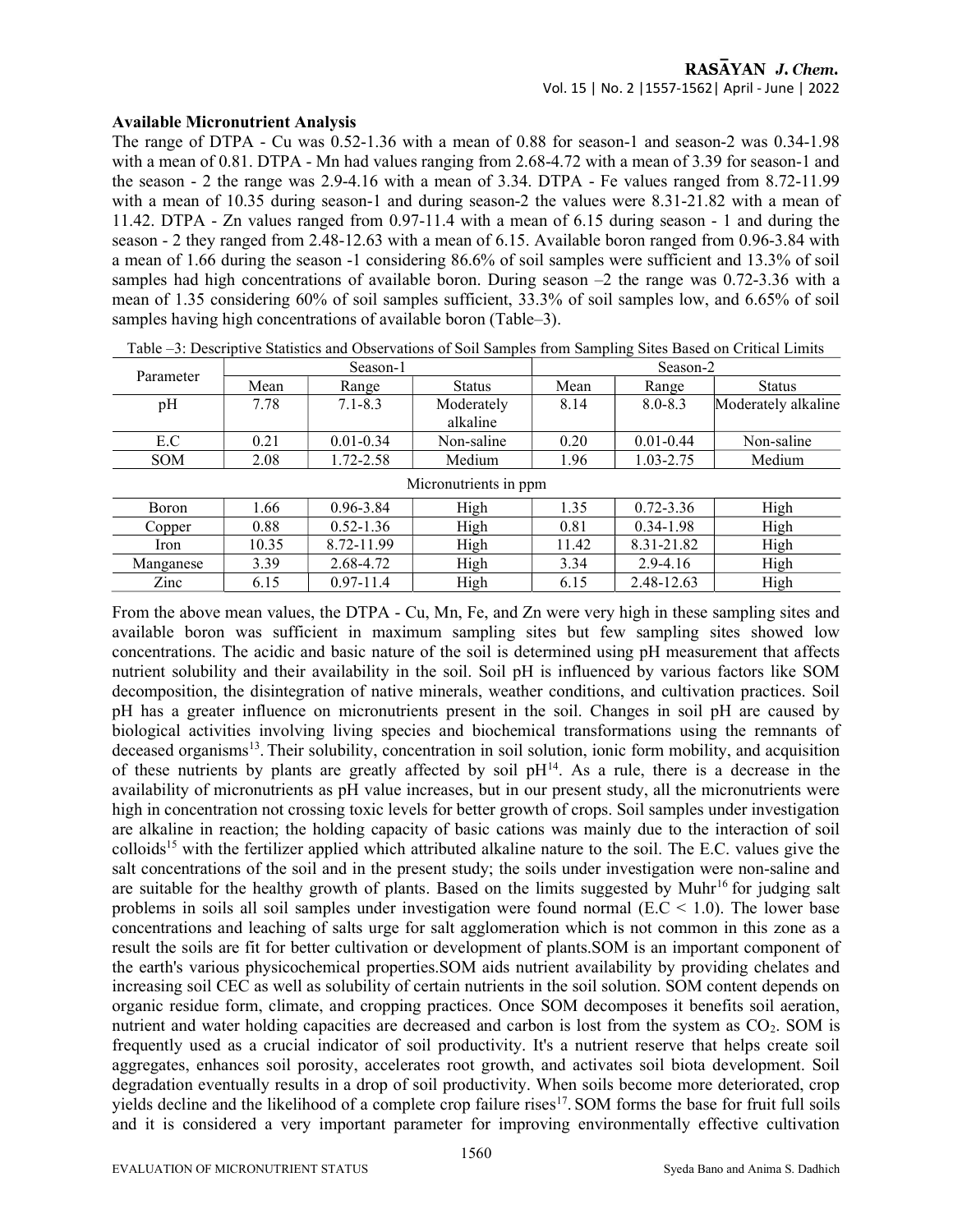### Available Micronutrient Analysis

The range of DTPA - Cu was 0.52-1.36 with a mean of 0.88 for season-1 and season-2 was 0.34-1.98 with a mean of 0.81. DTPA - Mn had values ranging from 2.68-4.72 with a mean of 3.39 for season-1 and the season - 2 the range was 2.9-4.16 with a mean of 3.34. DTPA - Fe values ranged from 8.72-11.99 with a mean of 10.35 during season-1 and during season-2 the values were 8.31-21.82 with a mean of 11.42. DTPA - Zn values ranged from 0.97-11.4 with a mean of 6.15 during season - 1 and during the season - 2 they ranged from 2.48-12.63 with a mean of 6.15. Available boron ranged from 0.96-3.84 with a mean of 1.66 during the season -1 considering 86.6% of soil samples were sufficient and 13.3% of soil samples had high concentrations of available boron. During season –2 the range was 0.72-3.36 with a mean of 1.35 considering 60% of soil samples sufficient, 33.3% of soil samples low, and 6.65% of soil samples having high concentrations of available boron (Table–3).

| Parameter             | Season-1 |               |                        | Season-2 |               |                     |  |
|-----------------------|----------|---------------|------------------------|----------|---------------|---------------------|--|
|                       | Mean     | Range         | <b>Status</b>          | Mean     | Range         | <b>Status</b>       |  |
| pH                    | 7.78     | $7.1 - 8.3$   | Moderately<br>alkaline | 8.14     | $8.0 - 8.3$   | Moderately alkaline |  |
| E.C                   | 0.21     | $0.01 - 0.34$ | Non-saline             | 0.20     | $0.01 - 0.44$ | Non-saline          |  |
| <b>SOM</b>            | 2.08     | 1.72-2.58     | Medium                 | 1.96     | 1.03-2.75     | Medium              |  |
| Micronutrients in ppm |          |               |                        |          |               |                     |  |
| Boron                 | 1.66     | $0.96 - 3.84$ | High                   | 1.35     | $0.72 - 3.36$ | High                |  |
| Copper                | 0.88     | $0.52 - 1.36$ | High                   | 0.81     | $0.34 - 1.98$ | High                |  |
| Iron                  | 10.35    | 8.72-11.99    | High                   | 11.42    | 8.31-21.82    | High                |  |
| Manganese             | 3.39     | 2.68-4.72     | High                   | 3.34     | $2.9 - 4.16$  | High                |  |
| Zinc                  | 6.15     | $0.97 - 11.4$ | High                   | 6.15     | 2.48-12.63    | High                |  |

Table –3: Descriptive Statistics and Observations of Soil Samples from Sampling Sites Based on Critical Limits

From the above mean values, the DTPA - Cu, Mn, Fe, and Zn were very high in these sampling sites and available boron was sufficient in maximum sampling sites but few sampling sites showed low concentrations. The acidic and basic nature of the soil is determined using pH measurement that affects nutrient solubility and their availability in the soil. Soil pH is influenced by various factors like SOM decomposition, the disintegration of native minerals, weather conditions, and cultivation practices. Soil pH has a greater influence on micronutrients present in the soil. Changes in soil pH are caused by biological activities involving living species and biochemical transformations using the remnants of deceased organisms<sup>13</sup>. Their solubility, concentration in soil solution, ionic form mobility, and acquisition of these nutrients by plants are greatly affected by soil  $pH^{14}$ . As a rule, there is a decrease in the availability of micronutrients as pH value increases, but in our present study, all the micronutrients were high in concentration not crossing toxic levels for better growth of crops. Soil samples under investigation are alkaline in reaction; the holding capacity of basic cations was mainly due to the interaction of soil colloids<sup>15</sup> with the fertilizer applied which attributed alkaline nature to the soil. The E.C. values give the salt concentrations of the soil and in the present study; the soils under investigation were non-saline and are suitable for the healthy growth of plants. Based on the limits suggested by Muhr<sup>16</sup> for judging salt problems in soils all soil samples under investigation were found normal  $(E.C < 1.0)$ . The lower base concentrations and leaching of salts urge for salt agglomeration which is not common in this zone as a result the soils are fit for better cultivation or development of plants.SOM is an important component of the earth's various physicochemical properties.SOM aids nutrient availability by providing chelates and increasing soil CEC as well as solubility of certain nutrients in the soil solution. SOM content depends on organic residue form, climate, and cropping practices. Once SOM decomposes it benefits soil aeration, nutrient and water holding capacities are decreased and carbon is lost from the system as CO<sub>2</sub>. SOM is frequently used as a crucial indicator of soil productivity. It's a nutrient reserve that helps create soil aggregates, enhances soil porosity, accelerates root growth, and activates soil biota development. Soil degradation eventually results in a drop of soil productivity. When soils become more deteriorated, crop yields decline and the likelihood of a complete crop failure rises<sup>17</sup>. SOM forms the base for fruit full soils and it is considered a very important parameter for improving environmentally effective cultivation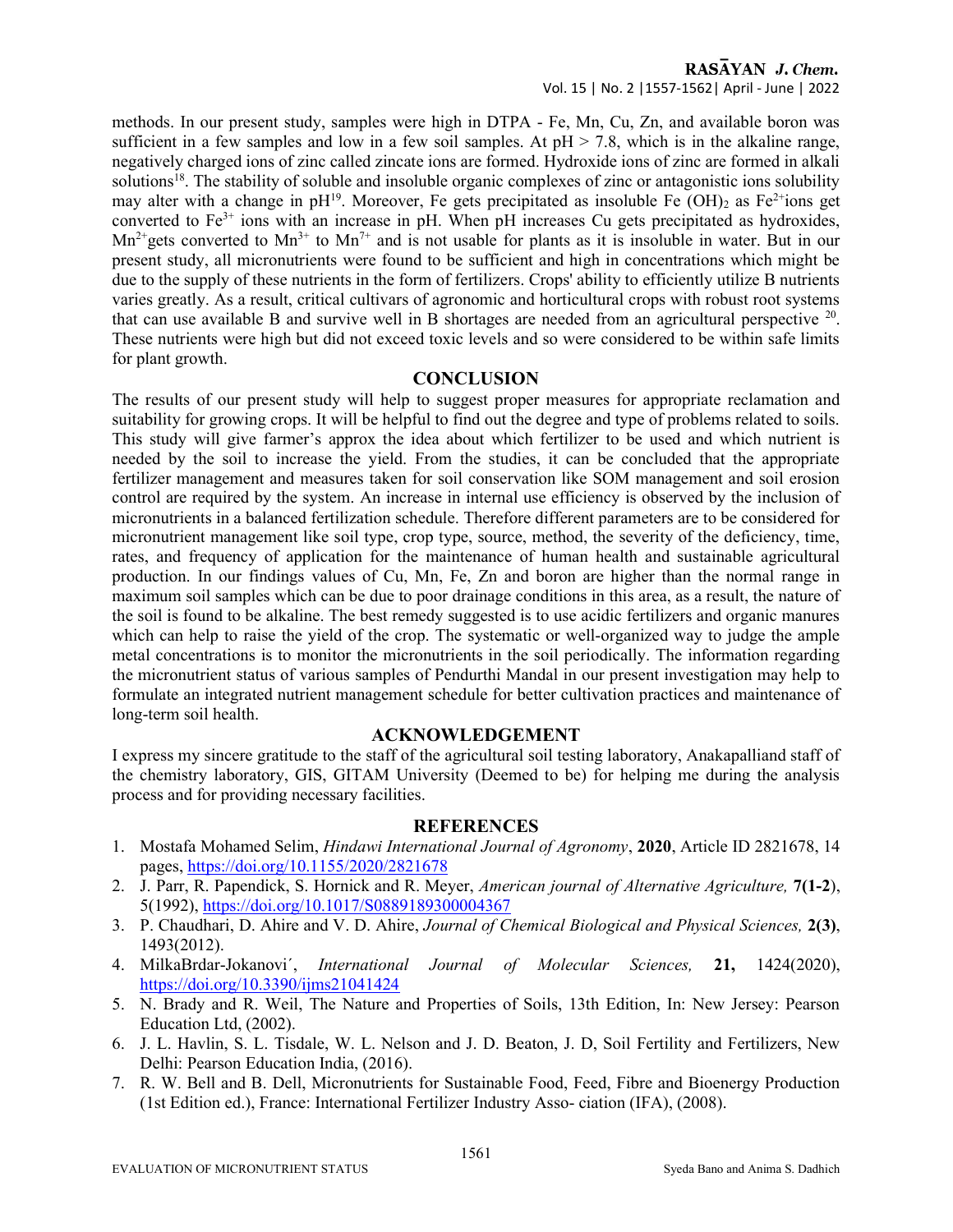### RASAYAN J. Chem. Vol. 15 | No. 2 |1557-1562| April - June | 2022

methods. In our present study, samples were high in DTPA - Fe, Mn, Cu, Zn, and available boron was sufficient in a few samples and low in a few soil samples. At  $pH > 7.8$ , which is in the alkaline range, negatively charged ions of zinc called zincate ions are formed. Hydroxide ions of zinc are formed in alkali solutions<sup>18</sup>. The stability of soluble and insoluble organic complexes of zinc or antagonistic ions solubility may alter with a change in  $pH^{19}$ . Moreover, Fe gets precipitated as insoluble Fe (OH)<sub>2</sub> as Fe<sup>2+</sup>ions get converted to  $Fe<sup>3+</sup>$  ions with an increase in pH. When pH increases Cu gets precipitated as hydroxides,  $Mn^{2+}$ gets converted to  $Mn^{3+}$  to  $Mn^{7+}$  and is not usable for plants as it is insoluble in water. But in our present study, all micronutrients were found to be sufficient and high in concentrations which might be due to the supply of these nutrients in the form of fertilizers. Crops' ability to efficiently utilize B nutrients varies greatly. As a result, critical cultivars of agronomic and horticultural crops with robust root systems that can use available B and survive well in B shortages are needed from an agricultural perspective  $20$ . These nutrients were high but did not exceed toxic levels and so were considered to be within safe limits for plant growth.

# **CONCLUSION**

The results of our present study will help to suggest proper measures for appropriate reclamation and suitability for growing crops. It will be helpful to find out the degree and type of problems related to soils. This study will give farmer's approx the idea about which fertilizer to be used and which nutrient is needed by the soil to increase the yield. From the studies, it can be concluded that the appropriate fertilizer management and measures taken for soil conservation like SOM management and soil erosion control are required by the system. An increase in internal use efficiency is observed by the inclusion of micronutrients in a balanced fertilization schedule. Therefore different parameters are to be considered for micronutrient management like soil type, crop type, source, method, the severity of the deficiency, time, rates, and frequency of application for the maintenance of human health and sustainable agricultural production. In our findings values of Cu, Mn, Fe, Zn and boron are higher than the normal range in maximum soil samples which can be due to poor drainage conditions in this area, as a result, the nature of the soil is found to be alkaline. The best remedy suggested is to use acidic fertilizers and organic manures which can help to raise the yield of the crop. The systematic or well-organized way to judge the ample metal concentrations is to monitor the micronutrients in the soil periodically. The information regarding the micronutrient status of various samples of Pendurthi Mandal in our present investigation may help to formulate an integrated nutrient management schedule for better cultivation practices and maintenance of long-term soil health.

# ACKNOWLEDGEMENT

I express my sincere gratitude to the staff of the agricultural soil testing laboratory, Anakapalliand staff of the chemistry laboratory, GIS, GITAM University (Deemed to be) for helping me during the analysis process and for providing necessary facilities.

# **REFERENCES**

- 1. Mostafa Mohamed Selim, Hindawi International Journal of Agronomy, 2020, Article ID 2821678, 14 pages, https://doi.org/10.1155/2020/2821678
- 2. J. Parr, R. Papendick, S. Hornick and R. Meyer, American journal of Alternative Agriculture, 7(1-2), 5(1992), https://doi.org/10.1017/S0889189300004367
- 3. P. Chaudhari, D. Ahire and V. D. Ahire, Journal of Chemical Biological and Physical Sciences, 2(3), 1493(2012).
- 4. MilkaBrdar-Jokanovi´, International Journal of Molecular Sciences, 21, 1424(2020), https://doi.org/10.3390/ijms21041424
- 5. N. Brady and R. Weil, The Nature and Properties of Soils, 13th Edition, In: New Jersey: Pearson Education Ltd, (2002).
- 6. J. L. Havlin, S. L. Tisdale, W. L. Nelson and J. D. Beaton, J. D, Soil Fertility and Fertilizers, New Delhi: Pearson Education India, (2016).
- 7. R. W. Bell and B. Dell, Micronutrients for Sustainable Food, Feed, Fibre and Bioenergy Production (1st Edition ed.), France: International Fertilizer Industry Asso- ciation (IFA), (2008).